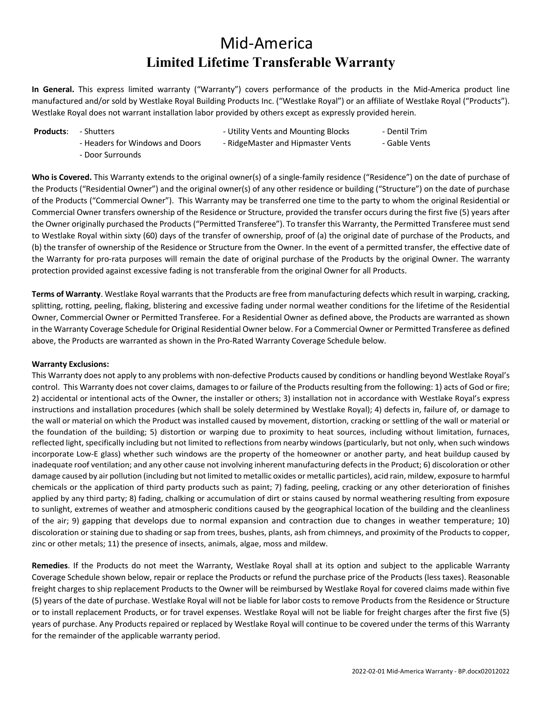## Mid-America **Limited Lifetime Transferable Warranty**

**In General.** This express limited warranty ("Warranty") covers performance of the products in the Mid-America product line manufactured and/or sold by Westlake Royal Building Products Inc. ("Westlake Royal") or an affiliate of Westlake Royal ("Products"). Westlake Royal does not warrant installation labor provided by others except as expressly provided herein.

**Products:** - Shutters **- Allection Controllers** - Utility Vents and Mounting Blocks - Dentil Trim

- Headers for Windows and Doors - RidgeMaster and Hipmaster Vents - Gable Vents

- Door Surrounds

**Who is Covered.** This Warranty extends to the original owner(s) of a single-family residence ("Residence") on the date of purchase of the Products ("Residential Owner") and the original owner(s) of any other residence or building ("Structure") on the date of purchase of the Products ("Commercial Owner"). This Warranty may be transferred one time to the party to whom the original Residential or Commercial Owner transfers ownership of the Residence or Structure, provided the transfer occurs during the first five (5) years after the Owner originally purchased the Products ("Permitted Transferee"). To transfer this Warranty, the Permitted Transferee must send to Westlake Royal within sixty (60) days of the transfer of ownership, proof of (a) the original date of purchase of the Products, and (b) the transfer of ownership of the Residence or Structure from the Owner. In the event of a permitted transfer, the effective date of the Warranty for pro-rata purposes will remain the date of original purchase of the Products by the original Owner. The warranty protection provided against excessive fading is not transferable from the original Owner for all Products.

**Terms of Warranty**. Westlake Royal warrants that the Products are free from manufacturing defects which result in warping, cracking, splitting, rotting, peeling, flaking, blistering and excessive fading under normal weather conditions for the lifetime of the Residential Owner, Commercial Owner or Permitted Transferee. For a Residential Owner as defined above, the Products are warranted as shown in the Warranty Coverage Schedule for Original Residential Owner below. For a Commercial Owner or Permitted Transferee as defined above, the Products are warranted as shown in the Pro-Rated Warranty Coverage Schedule below.

## **Warranty Exclusions:**

This Warranty does not apply to any problems with non-defective Products caused by conditions or handling beyond Westlake Royal's control. This Warranty does not cover claims, damages to or failure of the Products resulting from the following: 1) acts of God or fire; 2) accidental or intentional acts of the Owner, the installer or others; 3) installation not in accordance with Westlake Royal's express instructions and installation procedures (which shall be solely determined by Westlake Royal); 4) defects in, failure of, or damage to the wall or material on which the Product was installed caused by movement, distortion, cracking or settling of the wall or material or the foundation of the building; 5) distortion or warping due to proximity to heat sources, including without limitation, furnaces, reflected light, specifically including but not limited to reflections from nearby windows (particularly, but not only, when such windows incorporate Low-E glass) whether such windows are the property of the homeowner or another party, and heat buildup caused by inadequate roof ventilation; and any other cause not involving inherent manufacturing defects in the Product; 6) discoloration or other damage caused by air pollution (including but not limited to metallic oxides or metallic particles), acid rain, mildew, exposure to harmful chemicals or the application of third party products such as paint; 7) fading, peeling, cracking or any other deterioration of finishes applied by any third party; 8) fading, chalking or accumulation of dirt or stains caused by normal weathering resulting from exposure to sunlight, extremes of weather and atmospheric conditions caused by the geographical location of the building and the cleanliness of the air; 9) gapping that develops due to normal expansion and contraction due to changes in weather temperature; 10) discoloration or staining due to shading or sap from trees, bushes, plants, ash from chimneys, and proximity of the Products to copper, zinc or other metals; 11) the presence of insects, animals, algae, moss and mildew.

**Remedies**. If the Products do not meet the Warranty, Westlake Royal shall at its option and subject to the applicable Warranty Coverage Schedule shown below, repair or replace the Products or refund the purchase price of the Products (less taxes). Reasonable freight charges to ship replacement Products to the Owner will be reimbursed by Westlake Royal for covered claims made within five (5) years of the date of purchase. Westlake Royal will not be liable for labor costs to remove Products from the Residence or Structure or to install replacement Products, or for travel expenses. Westlake Royal will not be liable for freight charges after the first five (5) years of purchase. Any Products repaired or replaced by Westlake Royal will continue to be covered under the terms of this Warranty for the remainder of the applicable warranty period.